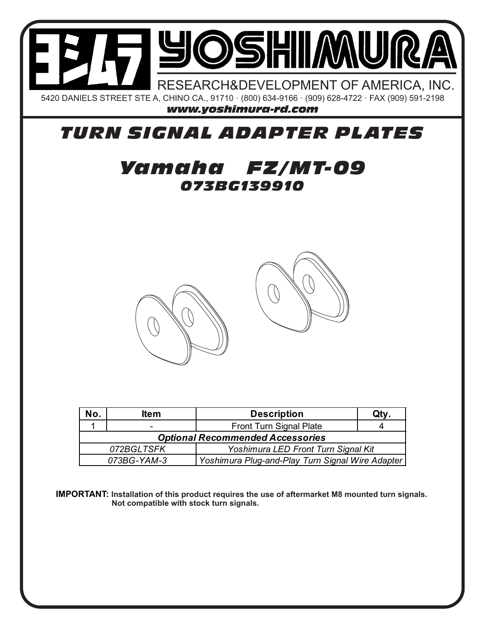

## *TURN SIGNAL ADAPTER PLATES*

## *073BG139910 Yamaha FZ/MT-09*



| No.                                                             | ltem | <b>Description</b>      | Qty. |
|-----------------------------------------------------------------|------|-------------------------|------|
|                                                                 | -    | Front Turn Signal Plate |      |
| <b>Optional Recommended Accessories</b>                         |      |                         |      |
| 072BGLTSFK<br>Yoshimura LED Front Turn Signal Kit               |      |                         |      |
| Yoshimura Plug-and-Play Turn Signal Wire Adapter<br>073BG-YAM-3 |      |                         |      |

**IMPORTANT: Installation of this product requires the use of aftermarket M8 mounted turn signals. Not compatible with stock turn signals.**